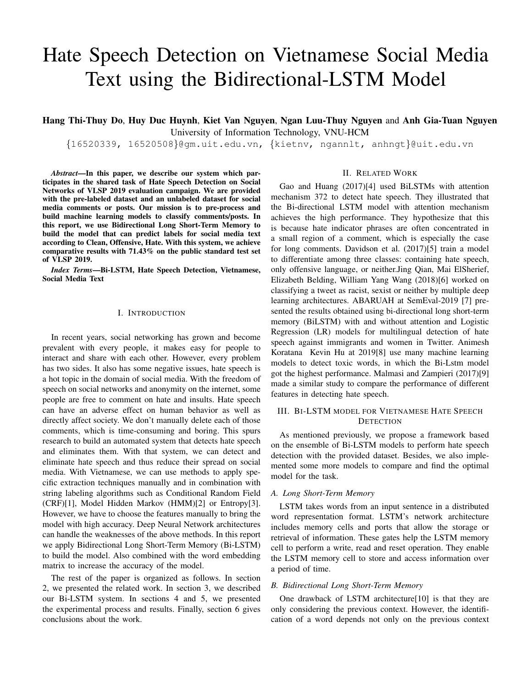# Hate Speech Detection on Vietnamese Social Media Text using the Bidirectional-LSTM Model

Hang Thi-Thuy Do, Huy Duc Huynh, Kiet Van Nguyen, Ngan Luu-Thuy Nguyen and Anh Gia-Tuan Nguyen University of Information Technology, VNU-HCM

{16520339, 16520508}@gm.uit.edu.vn, {kietnv, ngannlt, anhngt}@uit.edu.vn

*Abstract*—In this paper, we describe our system which participates in the shared task of Hate Speech Detection on Social Networks of VLSP 2019 evaluation campaign. We are provided with the pre-labeled dataset and an unlabeled dataset for social media comments or posts. Our mission is to pre-process and build machine learning models to classify comments/posts. In this report, we use Bidirectional Long Short-Term Memory to build the model that can predict labels for social media text according to Clean, Offensive, Hate. With this system, we achieve comparative results with 71.43% on the public standard test set of VLSP 2019.

*Index Terms*—Bi-LSTM, Hate Speech Detection, Vietnamese, Social Media Text

#### I. INTRODUCTION

In recent years, social networking has grown and become prevalent with every people, it makes easy for people to interact and share with each other. However, every problem has two sides. It also has some negative issues, hate speech is a hot topic in the domain of social media. With the freedom of speech on social networks and anonymity on the internet, some people are free to comment on hate and insults. Hate speech can have an adverse effect on human behavior as well as directly affect society. We don't manually delete each of those comments, which is time-consuming and boring. This spurs research to build an automated system that detects hate speech and eliminates them. With that system, we can detect and eliminate hate speech and thus reduce their spread on social media. With Vietnamese, we can use methods to apply specific extraction techniques manually and in combination with string labeling algorithms such as Conditional Random Field (CRF)[1], Model Hidden Markov (HMM)[2] or Entropy[3]. However, we have to choose the features manually to bring the model with high accuracy. Deep Neural Network architectures can handle the weaknesses of the above methods. In this report we apply Bidirectional Long Short-Term Memory (Bi-LSTM) to build the model. Also combined with the word embedding matrix to increase the accuracy of the model.

The rest of the paper is organized as follows. In section 2, we presented the related work. In section 3, we described our Bi-LSTM system. In sections 4 and 5, we presented the experimental process and results. Finally, section 6 gives conclusions about the work.

# II. RELATED WORK

Gao and Huang (2017)[4] used BiLSTMs with attention mechanism 372 to detect hate speech. They illustrated that the Bi-directional LSTM model with attention mechanism achieves the high performance. They hypothesize that this is because hate indicator phrases are often concentrated in a small region of a comment, which is especially the case for long comments. Davidson et al. (2017)[5] train a model to differentiate among three classes: containing hate speech, only offensive language, or neither.Jing Qian, Mai ElSherief, Elizabeth Belding, William Yang Wang (2018)[6] worked on classifying a tweet as racist, sexist or neither by multiple deep learning architectures. ABARUAH at SemEval-2019 [7] presented the results obtained using bi-directional long short-term memory (BiLSTM) with and without attention and Logistic Regression (LR) models for multilingual detection of hate speech against immigrants and women in Twitter. Animesh Koratana Kevin Hu at 2019[8] use many machine learning models to detect toxic words, in which the Bi-Lstm model got the highest performance. Malmasi and Zampieri (2017)[9] made a similar study to compare the performance of different features in detecting hate speech.

# III. BI-LSTM MODEL FOR VIETNAMESE HATE SPEECH **DETECTION**

As mentioned previously, we propose a framework based on the ensemble of Bi-LSTM models to perform hate speech detection with the provided dataset. Besides, we also implemented some more models to compare and find the optimal model for the task.

# *A. Long Short-Term Memory*

LSTM takes words from an input sentence in a distributed word representation format. LSTM's network architecture includes memory cells and ports that allow the storage or retrieval of information. These gates help the LSTM memory cell to perform a write, read and reset operation. They enable the LSTM memory cell to store and access information over a period of time.

# *B. Bidirectional Long Short-Term Memory*

One drawback of LSTM architecture[10] is that they are only considering the previous context. However, the identification of a word depends not only on the previous context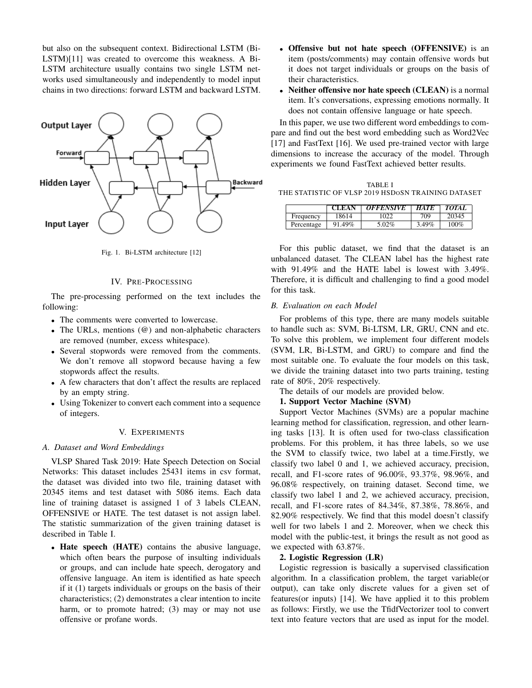but also on the subsequent context. Bidirectional LSTM (Bi-LSTM)[11] was created to overcome this weakness. A Bi-LSTM architecture usually contains two single LSTM networks used simultaneously and independently to model input chains in two directions: forward LSTM and backward LSTM.



Fig. 1. Bi-LSTM architecture [12]

#### IV. PRE-PROCESSING

The pre-processing performed on the text includes the following:

- The comments were converted to lowercase.
- The URLs, mentions (@) and non-alphabetic characters are removed (number, excess whitespace).
- Several stopwords were removed from the comments. We don't remove all stopword because having a few stopwords affect the results.
- A few characters that don't affect the results are replaced by an empty string.
- Using Tokenizer to convert each comment into a sequence of integers.

#### V. EXPERIMENTS

# *A. Dataset and Word Embeddings*

VLSP Shared Task 2019: Hate Speech Detection on Social Networks: This dataset includes 25431 items in csv format, the dataset was divided into two file, training dataset with 20345 items and test dataset with 5086 items. Each data line of training dataset is assigned 1 of 3 labels CLEAN, OFFENSIVE or HATE. The test dataset is not assign label. The statistic summarization of the given training dataset is described in Table I.

• Hate speech (HATE) contains the abusive language, which often bears the purpose of insulting individuals or groups, and can include hate speech, derogatory and offensive language. An item is identified as hate speech if it (1) targets individuals or groups on the basis of their characteristics; (2) demonstrates a clear intention to incite harm, or to promote hatred; (3) may or may not use offensive or profane words.

- Offensive but not hate speech (OFFENSIVE) is an item (posts/comments) may contain offensive words but it does not target individuals or groups on the basis of their characteristics.
- Neither offensive nor hate speech (CLEAN) is a normal item. It's conversations, expressing emotions normally. It does not contain offensive language or hate speech.

In this paper, we use two different word embeddings to compare and find out the best word embedding such as Word2Vec [17] and FastText [16]. We used pre-trained vector with large dimensions to increase the accuracy of the model. Through experiments we found FastText achieved better results.

|                                                    | TABLE I |  |  |
|----------------------------------------------------|---------|--|--|
| THE STATISTIC OF VLSP 2019 HSD0SN TRAINING DATASET |         |  |  |

|            | <b>CLEAN</b> | <b>OFFENSIVE</b> | <b>HATE</b> | <b>TOTAI</b> |
|------------|--------------|------------------|-------------|--------------|
| Frequency  | 18614        | 1022             | 709         | 20345        |
| Percentage | 91.49%       | 5.02%            | 3.49%       | $100\%$      |

For this public dataset, we find that the dataset is an unbalanced dataset. The CLEAN label has the highest rate with 91.49% and the HATE label is lowest with 3.49%. Therefore, it is difficult and challenging to find a good model for this task.

#### *B. Evaluation on each Model*

For problems of this type, there are many models suitable to handle such as: SVM, Bi-LTSM, LR, GRU, CNN and etc. To solve this problem, we implement four different models (SVM, LR, Bi-LSTM, and GRU) to compare and find the most suitable one. To evaluate the four models on this task, we divide the training dataset into two parts training, testing rate of 80%, 20% respectively.

The details of our models are provided below.

# 1. Support Vector Machine (SVM)

Support Vector Machines (SVMs) are a popular machine learning method for classification, regression, and other learning tasks [13]. It is often used for two-class classification problems. For this problem, it has three labels, so we use the SVM to classify twice, two label at a time.Firstly, we classify two label 0 and 1, we achieved accuracy, precision, recall, and F1-score rates of 96.00%, 93.37%, 98.96%, and 96.08% respectively, on training dataset. Second time, we classify two label 1 and 2, we achieved accuracy, precision, recall, and F1-score rates of 84.34%, 87.38%, 78.86%, and 82.90% respectively. We find that this model doesn't classify well for two labels 1 and 2. Moreover, when we check this model with the public-test, it brings the result as not good as we expected with 63.87%.

#### 2. Logistic Regression (LR)

Logistic regression is basically a supervised classification algorithm. In a classification problem, the target variable(or output), can take only discrete values for a given set of features(or inputs) [14]. We have applied it to this problem as follows: Firstly, we use the TfidfVectorizer tool to convert text into feature vectors that are used as input for the model.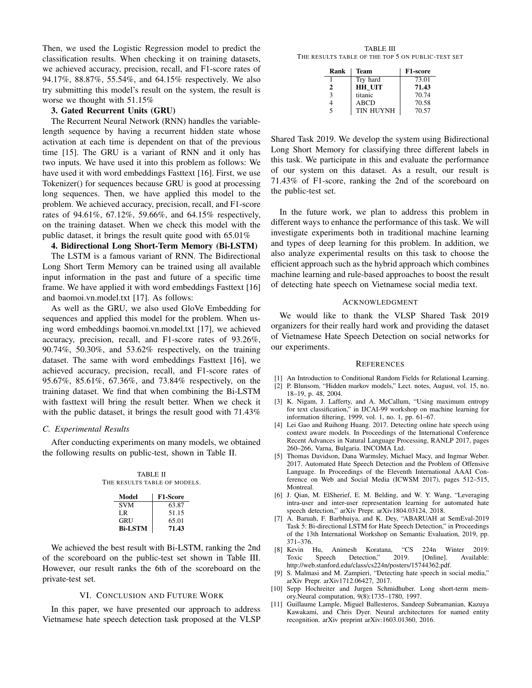Then, we used the Logistic Regression model to predict the classification results. When checking it on training datasets, we achieved accuracy, precision, recall, and F1-score rates of 94.17%, 88.87%, 55.54%, and 64.15% respectively. We also try submitting this model's result on the system, the result is worse we thought with 51.15%

# 3. Gated Recurrent Units (GRU)

The Recurrent Neural Network (RNN) handles the variablelength sequence by having a recurrent hidden state whose activation at each time is dependent on that of the previous time [15]. The GRU is a variant of RNN and it only has two inputs. We have used it into this problem as follows: We have used it with word embeddings Fasttext [16]. First, we use Tokenizer() for sequences because GRU is good at processing long sequences. Then, we have applied this model to the problem. We achieved accuracy, precision, recall, and F1-score rates of 94.61%, 67.12%, 59.66%, and 64.15% respectively, on the training dataset. When we check this model with the public dataset, it brings the result quite good with 65.01%

#### 4. Bidirectional Long Short-Term Memory (Bi-LSTM)

The LSTM is a famous variant of RNN. The Bidirectional Long Short Term Memory can be trained using all available input information in the past and future of a specific time frame. We have applied it with word embeddings Fasttext [16] and baomoi.vn.model.txt [17]. As follows:

As well as the GRU, we also used GloVe Embedding for sequences and applied this model for the problem. When using word embeddings baomoi.vn.model.txt [17], we achieved accuracy, precision, recall, and F1-score rates of 93.26%, 90.74%, 50.30%, and 53.62% respectively, on the training dataset. The same with word embeddings Fasttext [16], we achieved accuracy, precision, recall, and F1-score rates of 95.67%, 85.61%, 67.36%, and 73.84% respectively, on the training dataset. We find that when combining the Bi-LSTM with fasttext will bring the result better. When we check it with the public dataset, it brings the result good with  $71.43\%$ 

# *C. Experimental Results*

After conducting experiments on many models, we obtained the following results on public-test, shown in Table II.

TABLE II THE RESULTS TABLE OF MODELS.

| Model          | <b>F1-Score</b> |
|----------------|-----------------|
| <b>SVM</b>     | 63.87           |
| LR             | 51.15           |
| <b>GRU</b>     | 65.01           |
| <b>Bi-LSTM</b> | 71.43           |

We achieved the best result with Bi-LSTM, ranking the 2nd of the scoreboard on the public-test set shown in Table III. However, our result ranks the 6th of the scoreboard on the private-test set.

#### VI. CONCLUSION AND FUTURE WORK

In this paper, we have presented our approach to address Vietnamese hate speech detection task proposed at the VLSP

TABLE III THE RESULTS TABLE OF THE TOP 5 ON PUBLIC-TEST SET

| Rank | Team             | F1-score |
|------|------------------|----------|
|      | Try hard         | 73.01    |
| 2    | HH UIT           | 71.43    |
| 3    | titanic          | 70.74    |
|      | <b>ABCD</b>      | 70.58    |
| 5    | <b>TIN HUYNH</b> | 70.57    |

Shared Task 2019. We develop the system using Bidirectional Long Short Memory for classifying three different labels in this task. We participate in this and evaluate the performance of our system on this dataset. As a result, our result is 71.43% of F1-score, ranking the 2nd of the scoreboard on the public-test set.

In the future work, we plan to address this problem in different ways to enhance the performance of this task. We will investigate experiments both in traditional machine learning and types of deep learning for this problem. In addition, we also analyze experimental results on this task to choose the efficient approach such as the hybrid approach which combines machine learning and rule-based approaches to boost the result of detecting hate speech on Vietnamese social media text.

#### ACKNOWLEDGMENT

We would like to thank the VLSP Shared Task 2019 organizers for their really hard work and providing the dataset of Vietnamese Hate Speech Detection on social networks for our experiments.

#### **REFERENCES**

- [1] An Introduction to Conditional Random Fields for Relational Learning.
- [2] P. Blunsom, "Hidden markov models," Lect. notes, August, vol. 15, no. 18–19, p. 48, 2004.
- [3] K. Nigam, J. Lafferty, and A. McCallum, "Using maximum entropy for text classification," in IJCAI-99 workshop on machine learning for information filtering, 1999, vol. 1, no. 1, pp. 61–67.
- [4] Lei Gao and Ruihong Huang. 2017. Detecting online hate speech using context aware models. In Proceedings of the International Conference Recent Advances in Natural Language Processing, RANLP 2017, pages 260–266, Varna, Bulgaria. INCOMA Ltd.
- [5] Thomas Davidson, Dana Warmsley, Michael Macy, and Ingmar Weber. 2017. Automated Hate Speech Detection and the Problem of Offensive Language. In Proceedings of the Eleventh International AAAI Conference on Web and Social Media (ICWSM 2017), pages 512–515, **Montreal**
- [6] J. Qian, M. ElSherief, E. M. Belding, and W. Y. Wang, "Leveraging intra-user and inter-user representation learning for automated hate speech detection," arXiv Prepr. arXiv1804.03124, 2018.
- [7] A. Baruah, F. Barbhuiya, and K. Dey, "ABARUAH at SemEval-2019 Task 5: Bi-directional LSTM for Hate Speech Detection," in Proceedings of the 13th International Workshop on Semantic Evaluation, 2019, pp. 371–376.
- [8] Kevin Hu, Animesh Koratana, "CS 224n Winter 2019: Toxic Speech Detection," http://web.stanford.edu/class/cs224n/posters/15744362.pdf.
- [9] S. Malmasi and M. Zampieri, "Detecting hate speech in social media," arXiv Prepr. arXiv1712.06427, 2017.
- [10] Sepp Hochreiter and Jurgen Schmidhuber. Long short-term memory.Neural computation, 9(8):1735–1780, 1997.
- [11] Guillaume Lample, Miguel Ballesteros, Sandeep Subramanian, Kazuya Kawakami, and Chris Dyer. Neural architectures for named entity recognition. arXiv preprint arXiv:1603.01360, 2016.